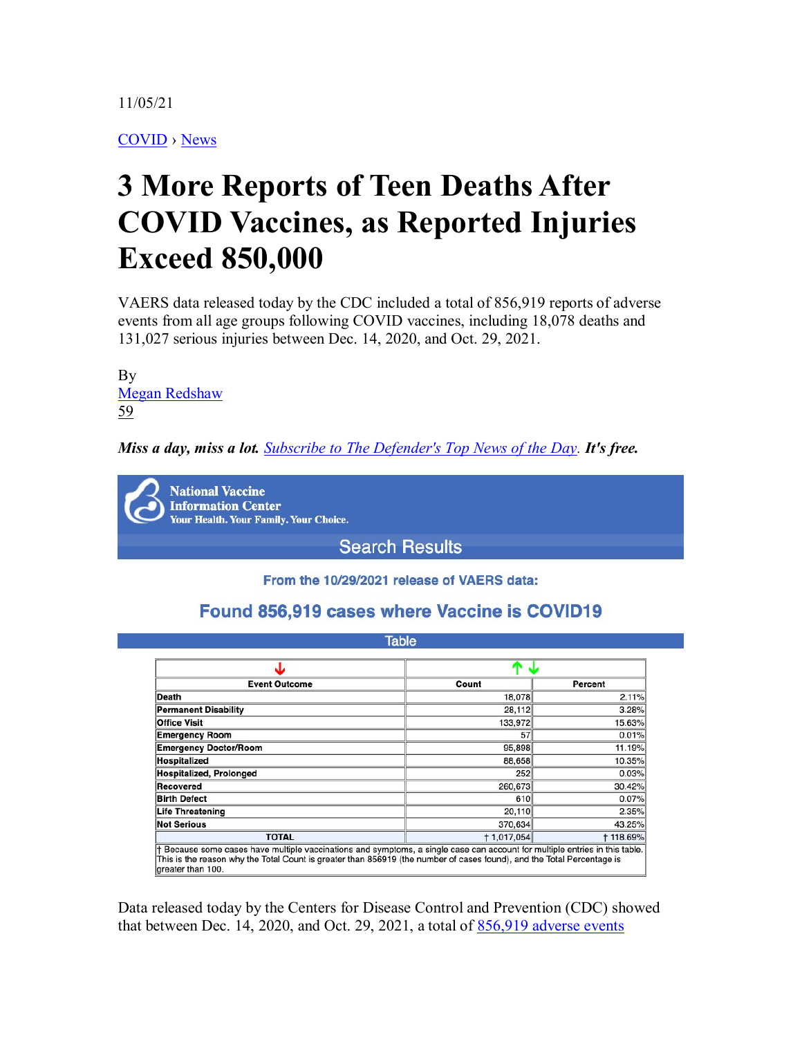11/05/21

[COVID](https://childrenshealthdefense.org/defender_category/covid) › [News](https://childrenshealthdefense.org/defender-news)

# **3 More Reports of Teen Deaths After COVID Vaccines, as Reported Injuries Exceed 850,000**

VAERS data released today by the CDC included a total of 856,919 reports of adverse events from all age groups following COVID vaccines, including 18,078 deaths and 131,027 serious injuries between Dec. 14, 2020, and Oct. 29, 2021.

By [Megan Redshaw](https://childrenshealthdefense.org/authors/megan-redshaw/)  [59](https://childrenshealthdefense.org/defender/vaers-cdc-adverse-events-deaths-covid-vaccines/#disqus_thread)

*Miss a day, miss a lot. [Subscribe to The Defender's Top News of the Day.](https://childrenshealthdefense.org/about-us/sign-up/?utm_source=top_of_article&utm_medium=the_defender&utm_campaign=sign_ups) It's free.*

**National Vaccine Information Center Your Health. Your Family. Your Choice.** 

**Search Results** 

From the 10/29/2021 release of VAERS data:

## Found 856,919 cases where Vaccine is COVID19

| <b>Event Outcome</b>           | Count       | Percent         |
|--------------------------------|-------------|-----------------|
| Death                          | 18,078      | 2.11%           |
| <b>Permanent Disability</b>    | 28,112      | 3.28%           |
| <b>Office Visit</b>            | 133,972     | 15.63%          |
| <b>Emergency Room</b>          | 57          | 0.01%           |
| <b>Emergency Doctor/Room</b>   | 95,898      | 11.19%          |
| <b>Hospitalized</b>            | 88,658      | 10.35%          |
| <b>Hospitalized, Prolonged</b> | 252         | 0.03%           |
| Recovered                      | 260,673     | 30.42%          |
| <b>Birth Defect</b>            | 610         | 0.07%           |
| <b>Life Threatening</b>        | 20,110      | 2.35%           |
| <b>Not Serious</b>             | 370,634     | 43.25%          |
| <b>TOTAL</b>                   | + 1,017,054 | <b>†118.69%</b> |

Data released today by the Centers for Disease Control and Prevention (CDC) showed that between Dec. 14, 2020, and Oct. 29, 2021, a total of  $856,919$  adverse events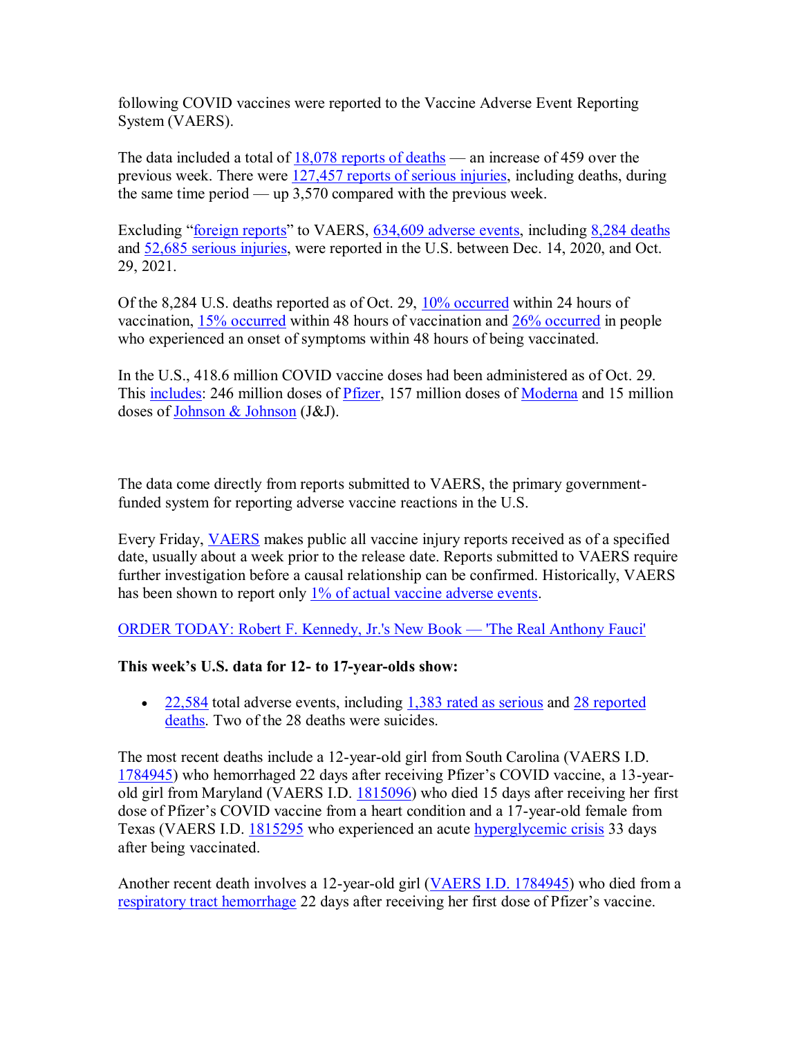following COVID vaccines were reported to the Vaccine Adverse Event Reporting System (VAERS).

The data included a total of  $18,078$  reports of deaths — an increase of 459 over the previous week. There were [127,457 reports of serious injuries,](https://www.medalerts.org/vaersdb/findfield.php?TABLE=ON&GROUP1=AGE&EVENTS=ON&VAX=COVID19&SERIOUS=ON) including deaths, during the same time period — up 3,570 compared with the previous week.

Excluding "[foreign reports](https://wonder.cdc.gov/wonder/help/vaers/VAERS%20Advisory%20Guide.htm)" to VAERS, [634,609 adverse events,](https://medalerts.org/vaersdb/findfield.php?TABLE=ON&GROUP1=AGE&EVENTS=ON&VAX=COVID19&STATE=NOTFR) including [8,284 deaths](https://medalerts.org/vaersdb/findfield.php?TABLE=ON&GROUP1=AGE&EVENTS=ON&VAX=COVID19&DIED=Yes&STATE=NOTFR) and [52,685 serious injuries,](https://medalerts.org/vaersdb/findfield.php?TABLE=ON&GROUP1=AGE&EVENTS=ON&VAX=COVID19&SERIOUS=ON&STATE=NOTFR) were reported in the U.S. between Dec. 14, 2020, and Oct. 29, 2021.

Of the 8,284 U.S. deaths reported as of Oct. 29, [10% occurred](https://www.medalerts.org/vaersdb/findfield.php?TABLE=ON&GROUP1=AGE&EVENTS=ON&VAX=COVID19&DIED=Yes&STATE=NOTFR&V2DCHECKED=ON&V2DHIGH=1) within 24 hours of vaccination, [15% occurred](https://www.medalerts.org/vaersdb/findfield.php?TABLE=ON&GROUP1=AGE&EVENTS=ON&VAX=COVID19&DIED=Yes&STATE=NOTFR&V2DCHECKED=ON&V2DHIGH=2) within 48 hours of vaccination and [26% occurred](https://www.medalerts.org/vaersdb/findfield.php?TABLE=ON&GROUP1=AGE&EVENTS=ON&VAX=COVID19&DIED=Yes&STATE=NOTFR&V2OCHECKED=ON&V2OLOW=0&V2OHIGH=2) in people who experienced an onset of symptoms within 48 hours of being vaccinated.

In the U.S., 418.6 million COVID vaccine doses had been administered as of Oct. 29. This [includes:](https://ourworldindata.org/grapher/covid-vaccine-doses-by-manufacturer?country=~USA) 246 million doses of [Pfizer,](https://childrenshealthdefense.org/defender/cheryl-cohen-dies-rare-brain-disease-second-dose-pfizer-covid-shot/) 157 million doses of [Moderna](https://childrenshealthdefense.org/defender/the-peoples-testaments-polly-tommey-sally-kirkland-moderna-vaccine-constant-pain/) and 15 million doses o[f Johnson & Johnson](https://childrenshealthdefense.org/defender/fda-warning-jj-vaccine-serious-rare-autoimmune-disorder/) (J&J).

The data come directly from reports submitted to VAERS, the primary governmentfunded system for reporting adverse vaccine reactions in the U.S.

Every Friday, [VAERS](https://childrenshealthdefense.org/defender/rfk-jr-david-kessler-covid-vaccine-vaers/) makes public all vaccine injury reports received as of a specified date, usually about a week prior to the release date. Reports submitted to VAERS require further investigation before a causal relationship can be confirmed. Historically, VAERS has been shown to report only [1% of actual vaccine adverse events.](https://digital.ahrq.gov/sites/default/files/docs/publication/r18hs017045-lazarus-final-report-2011.pdf)

ORDER TODAY: [Robert F. Kennedy, Jr.'s New Book](https://www.amazon.com/Real-Anthony-Fauci-Democracy-Childrens/dp/1510766804) — 'The Real Anthony Fauci'

## **This week's U.S. data for 12- to 17-year-olds show:**

• [22,584](https://medalerts.org/vaersdb/findfield.php?TABLE=ON&GROUP1=AGE&EVENTS=ON&VAX=COVID19&VAXTYPES=COVID-19&STATE=NOTFR&WhichAge=range&LOWAGE=12&HIGHAGE=18) total adverse events, including [1,383 rated as serious](https://medalerts.org/vaersdb/findfield.php?TABLE=ON&GROUP1=AGE&EVENTS=ON&VAX=COVID19&VAXTYPES=COVID-19&SERIOUS=ON&STATE=NOTFR&WhichAge=range&LOWAGE=12&HIGHAGE=18) and 28 reported [deaths.](https://medalerts.org/vaersdb/findfield.php?TABLE=ON&GROUP1=AGE&EVENTS=ON&VAX=COVID19&VAXTYPES=COVID-19&DIED=Yes&STATE=NOTFR&WhichAge=range&LOWAGE=12&HIGHAGE=18) Two of the 28 deaths were suicides.

The most recent deaths include a 12-year-old girl from South Carolina (VAERS I.D. [1784945](https://medalerts.org/vaersdb/findfield.php?IDNUMBER=1784945)) who hemorrhaged 22 days after receiving Pfizer's COVID vaccine, a 13-yearold girl from Maryland (VAERS I.D. [1815096\)](https://medalerts.org/vaersdb/findfield.php?IDNUMBER=1815096) who died 15 days after receiving her first dose of Pfizer's COVID vaccine from a heart condition and a 17-year-old female from Texas (VAERS I.D. [1815295](https://medalerts.org/vaersdb/findfield.php?IDNUMBER=1815295) who experienced an acute [hyperglycemic crisis](https://www.ncbi.nlm.nih.gov/books/NBK279052/) 33 days after being vaccinated.

Another recent death involves a 12-year-old girl [\(VAERS I.D. 1784945\)](https://medalerts.org/vaersdb/findfield.php?IDNUMBER=1784945) who died from a [respiratory tract hemorrhage](https://medalerts.org/vaersdb/findfield.php?EVENTS=on&PAGENO=3&PERPAGE=10&ESORT=&REVERSESORT=&LOWAGE=(12)&HIGHAGE=(18)&WhichAge=range&STATE=(NOTFR)&VAX=(COVID19)&VAXTYPES=(COVID-19)&DIED=Yes) 22 days after receiving her first dose of Pfizer's vaccine.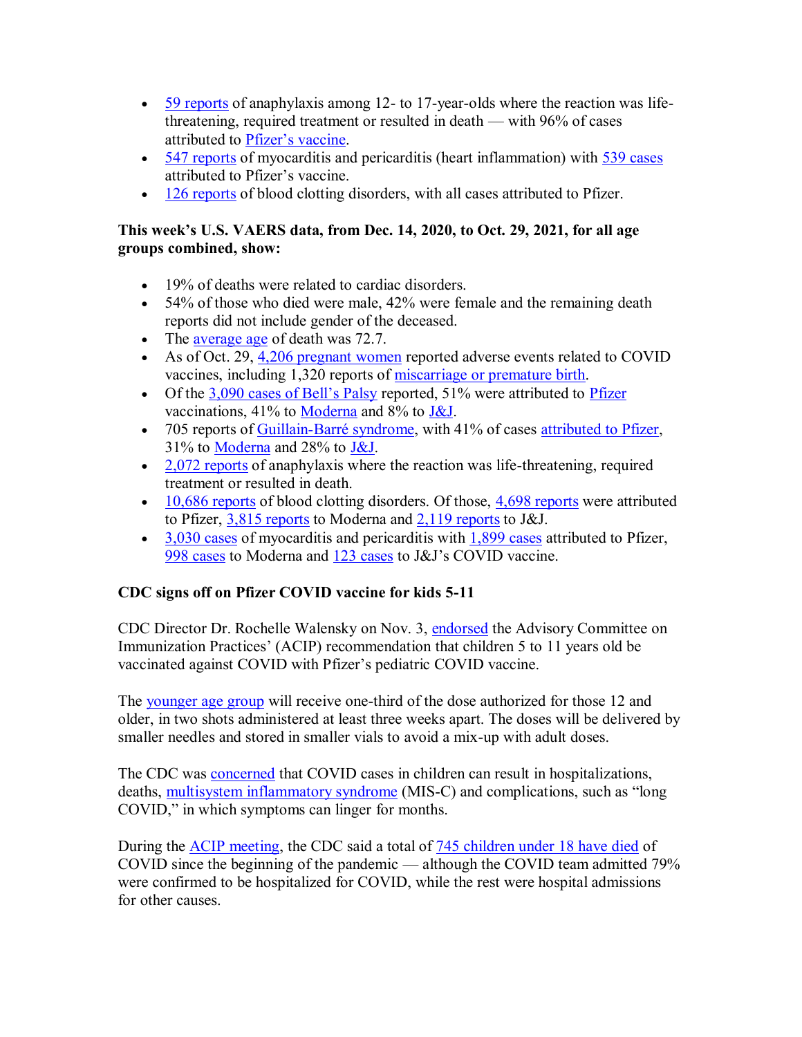- [59 reports](https://medalerts.org/vaersdb/findfield.php?TABLE=ON&GROUP1=AGE&EVENTS=ON&SYMPTOMS%5b%5d=Anaphylactic+reaction+%2810002198%29&SYMPTOMS%5b%5d=Anaphylactic+shock+%2810002199%29&SYMPTOMS%5b%5d=Anaphylactoid+reaction+%2810002216%29&SYMPTOMS%5b%5d=Anaphylactoid+shock+%2810063119%29&SYMPTOMS%5b%5d=Anaphylaxis+prophylaxis+%2810049090%29&SYMPTOMS%5b%5d=Anaphylaxis+treatment+%2810002222%29&VAX=COVID19&STATE=NOTFR&WhichAge=range&LOWAGE=12&HIGHAGE=18) of anaphylaxis among 12- to 17-year-olds where the reaction was lifethreatening, required treatment or resulted in death — with 96% of cases attributed to [Pfizer's vaccine](https://medalerts.org/vaersdb/findfield.php?TABLE=ON&GROUP1=AGE&EVENTS=ON&SYMPTOMS%5b%5d=Anaphylactic+reaction+%2810002198%29&SYMPTOMS%5b%5d=Anaphylactic+shock+%2810002199%29&SYMPTOMS%5b%5d=Anaphylactoid+reaction+%2810002216%29&SYMPTOMS%5b%5d=Anaphylactoid+shock+%2810063119%29&SYMPTOMS%5b%5d=Anaphylaxis+prophylaxis+%2810049090%29&SYMPTOMS%5b%5d=Anaphylaxis+treatment+%2810002222%29&VAX=COVID19&VAXMAN=PFIZER/BIONTECH&STATE=NOTFR&WhichAge=range&LOWAGE=12&HIGHAGE=18).
- [547 reports](https://medalerts.org/vaersdb/findfield.php?TABLE=ON&GROUP1=AGE&EVENTS=ON&SYMPTOMS%5b%5d=Myocarditis+%2810028606%29&SYMPTOMS%5b%5d=Pericarditis+%2810034484%29&VAX=COVID19&STATE=NOTFR&WhichAge=range&LOWAGE=12&HIGHAGE=18) of myocarditis and pericarditis (heart inflammation) with [539 cases](https://medalerts.org/vaersdb/findfield.php?TABLE=ON&GROUP1=AGE&EVENTS=ON&SYMPTOMS%5b%5d=Myocarditis+%2810028606%29&SYMPTOMS%5b%5d=Pericarditis+%2810034484%29&VAX=COVID19&VAXMAN=PFIZER/BIONTECH&STATE=NOTFR&WhichAge=range&LOWAGE=12&HIGHAGE=18) attributed to Pfizer's vaccine.
- $\cdot$  [126 reports](https://medalerts.org/vaersdb/findfield.php?TABLE=ON&GROUP1=AGE&EVENTS=ON&SYMPTOMS%5b%5d=Cerebral+venous+sinus+thrombosis+%2810083037%29&SYMPTOMS%5b%5d=Cerebral+venous+thrombosis+%2810008138%29&SYMPTOMS%5b%5d=Coagulopathy+%2810009802%29&SYMPTOMS%5b%5d=Deep+vein+thrombosis+%2810051055%29&SYMPTOMS%5b%5d=Disseminated+intravascular+coagulation+%2810013442%29&SYMPTOMS%5b%5d=Embolism+%2810061169%29&SYMPTOMS%5b%5d=Idiopathic+thrombocytopenic+purpura+%2810021245%29&SYMPTOMS%5b%5d=Immune+thrombocytopenia+%2810083842%29&SYMPTOMS%5b%5d=Immune+thrombocytopenic+purpura+%2810074667%29&SYMPTOMS%5b%5d=Ischaemic+stroke+%2810061256%29&SYMPTOMS%5b%5d=Myocardial+infarction+%2810028596%29&SYMPTOMS%5b%5d=Petechiae+%2810034754%29&SYMPTOMS%5b%5d=Pulmonary+embolism+%2810037377%29&SYMPTOMS%5b%5d=Purpura+%2810037549%29&SYMPTOMS%5b%5d=Thrombocytopenia+%2810043554%29&SYMPTOMS%5b%5d=Thrombosis+%2810043607%29&SYMPTOMS%5b%5d=Vasculitis+%2810047115%29&VAX=COVID19&STATE=NOTFR&WhichAge=range&LOWAGE=12&HIGHAGE=18) of blood clotting disorders, with all cases attributed to Pfizer.

## **This week's U.S. VAERS data, from Dec. 14, 2020, to Oct. 29, 2021, for all age groups combined, show:**

- 19% of deaths were related to cardiac disorders.
- 54% of those who died were male, 42% were female and the remaining death reports did not include gender of the deceased.
- The [average age](https://www.medalerts.org/vaersdb/findfield.php?TABLE=ON&GROUP1=AGE&EVENTS=ON&VAX=COVID19&DIED=Yes) of death was 72.7.
- As of Oct. 29, [4,206 pregnant women](https://www.medalerts.org/vaersdb/findfield.php?TABLE=ON&GROUP1=DIS&EVENTS=ON&SYMPTOMS%5b%5d=Abnormal+labour+%2810000153%29&SYMPTOMS%5b%5d=Abnormal+labour+affecting+foetus+%2810000154%29&SYMPTOMS%5b%5d=Aborted+pregnancy+%2810000209%29&SYMPTOMS%5b%5d=Abortion+%2810000210%29&SYMPTOMS%5b%5d=Abortion+complete+%2810061614%29&SYMPTOMS%5b%5d=Abortion+early+%2810052846%29&SYMPTOMS%5b%5d=Abortion+spontaneous+%2810000234%29&SYMPTOMS%5b%5d=Abortion+spontaneous+complete+%2810061616%29&SYMPTOMS%5b%5d=Abortion+spontaneous+incomplete+%2810061617%29&SYMPTOMS%5b%5d=Exposure+during+pregnancy+%2810073513%29&SYMPTOMS%5b%5d=Foetal-maternal+haemorrhage+%2810016871%29&SYMPTOMS%5b%5d=Foetal+cardiac+disorder+%2810052088%29&SYMPTOMS%5b%5d=Foetal+damage+%2810016852%29&SYMPTOMS%5b%5d=Foetal+death+%2810055690%29&SYMPTOMS%5b%5d=Foetal+disorder+%2810061157%29&SYMPTOMS%5b%5d=Foetal+distress+syndrome+%2810016855%29&SYMPTOMS%5b%5d=Foetal+exposure+during+pregnancy+%2810071404%29&SYMPTOMS%5b%5d=Foetal+growth+abnormality+%2810077582%29&SYMPTOMS%5b%5d=Foetal+heart+rate+abnormal+%2810051139%29&SYMPTOMS%5b%5d=Foetal+heart+rate+deceleration+%2810058322%29&SYMPTOMS%5b%5d=Foetal+heart+rate+deceleration+abnormality+%2810074636%29&SYMPTOMS%5b%5d=Foetal+heart+rate+decreased+%2810051136%29&SYMPTOMS%5b%5d=Foetal+heart+rate+disorder+%2810061158%29&SYMPTOMS%5b%5d=Foetal+heart+rate+increased+%2810051138%29&SYMPTOMS%5b%5d=Foetal+movement+disorder+%2810077576%29&SYMPTOMS%5b%5d=Foetal+movements+decreased+%2810016866%29&SYMPTOMS%5b%5d=Haemorrhage+%2810055798%29&SYMPTOMS%5b%5d=Haemorrhage+in+pregnancy+%2810018981%29&SYMPTOMS%5b%5d=Placental+calcification+%2810082008%29&SYMPTOMS%5b%5d=Placental+disorder+%2810035132%29&SYMPTOMS%5b%5d=Placental+insufficiency+%2810035138%29&SYMPTOMS%5b%5d=Placental+necrosis+%2810035139%29&SYMPTOMS%5b%5d=Placental+transfusion+syndrome+%2810035146%29&SYMPTOMS%5b%5d=Placenta+praevia+%2810035119%29&SYMPTOMS%5b%5d=Placenta+praevia+haemorrhage+%2810035121%29&SYMPTOMS%5b%5d=Pregnancy+test+positive+%2810036575%29&SYMPTOMS%5b%5d=Premature+baby+%28) reported adverse events related to COVID vaccines, including 1,320 reports of [miscarriage or premature birth.](https://www.medalerts.org/vaersdb/findfield.php?TABLE=ON&GROUP1=AGE&EVENTS=ON&SYMPTOMS%5b%5d=Aborted+pregnancy+%2810000209%29&SYMPTOMS%5b%5d=Abortion+%2810000210%29&SYMPTOMS%5b%5d=Abortion+spontaneous+%2810000234%29&SYMPTOMS%5b%5d=Abortion+spontaneous+complete+%2810061616%29&SYMPTOMS%5b%5d=Abortion+spontaneous+incomplete+%2810061617%29&SYMPTOMS%5b%5d=Abortion+threatened+%2810000242%29&SYMPTOMS%5b%5d=Foetal-maternal+haemorrhage+%2810016871%29&SYMPTOMS%5b%5d=Foetal+cardiac+disorder+%2810052088%29&SYMPTOMS%5b%5d=Foetal+damage+%2810016852%29&SYMPTOMS%5b%5d=Foetal+death+%2810055690%29&SYMPTOMS%5b%5d=Foetal+disorder+%2810061157%29&SYMPTOMS%5b%5d=Foetal+distress+syndrome+%2810016855%29&SYMPTOMS%5b%5d=Foetal+heart+rate+abnormal+%2810051139%29&SYMPTOMS%5b%5d=Foetal+heart+rate+deceleration+%2810058322%29&SYMPTOMS%5b%5d=Foetal+heart+rate+deceleration+abnormality+%2810074636%29&SYMPTOMS%5b%5d=Foetal+heart+rate+decreased+%2810051136%29&SYMPTOMS%5b%5d=Foetal+heart+rate+disorder+%2810061158%29&SYMPTOMS%5b%5d=Foetal+heart+rate+increased+%2810051138%29&SYMPTOMS%5b%5d=Foetal+hypokinesia+%2810068461%29&SYMPTOMS%5b%5d=Foetal+malformation+%2810060919%29&SYMPTOMS%5b%5d=Foetal+malpresentation+%2810058013%29&SYMPTOMS%5b%5d=Foetal+monitoring+abnormal+%2810071507%29&SYMPTOMS%5b%5d=Foetal+movement+disorder+%2810077576%29&SYMPTOMS%5b%5d=Foetal+movements+decreased+%2810016866%29&SYMPTOMS%5b%5d=Foetal+non-stress+test+abnormal+%2810071516%29&SYMPTOMS%5b%5d=Placental+disorder+%2810035132%29&SYMPTOMS%5b%5d=Pregnancy+induced+hypertension+%2810036563%29&SYMPTOMS%5b%5d=Premature+baby+%2810036590%29&SYMPTOMS%5b%5d=Premature+baby+death+%2810076700%29&SYMPTOMS%5b%5d=Premature+delivery+%2810036595%29&SYMPTOMS%5b%5d=Premature+labour+%2810036600%29&SYMPTOMS%5b%5d=Premature+rupture+of+membranes+%2810036603%29&SYMPTOMS%5b%5d=Premature+separation+of+placenta+%2810036608%29&SYMPTOMS%5b%5d=Stillbirth+%2810042062%29&SYMPTOMS%5b%5d=Ultrasound+foetal+abnormal+%2810077578%29&VAX=COVID19&STATE=NOTFR)
- Of the  $3,090$  cases of Bell's Palsy reported, 51% were attributed to [Pfizer](https://medalerts.org/vaersdb/findfield.php?TABLE=ON&GROUP1=AGE&EVENTS=ON&SYMPTOMS=Bell%27s+palsy+%2810004223%29&VAX=COVID19&VAXMAN=PFIZER/BIONTECH&STATE=NOTFR) vaccinations, 41% to [Moderna](https://medalerts.org/vaersdb/findfield.php?TABLE=ON&GROUP1=AGE&EVENTS=ON&SYMPTOMS=Bell%27s+palsy+%2810004223%29&VAX=COVID19&VAXMAN=MODERNA&STATE=NOTFR) and 8% to [J&J.](https://medalerts.org/vaersdb/findfield.php?TABLE=ON&GROUP1=AGE&EVENTS=ON&SYMPTOMS=Bell%27s+palsy+%2810004223%29&VAX=COVID19&VAXMAN=JANSSEN&STATE=NOTFR)
- 705 reports of [Guillain-Barré syndrome,](https://medalerts.org/vaersdb/findfield.php?TABLE=ON&GROUP1=AGE&EVENTS=ON&SYMPTOMS=Guillain-Barre+syndrome+%2810018767%29&VAX=COVID19&STATE=NOTFR) with 41% of cases [attributed to Pfizer,](https://medalerts.org/vaersdb/findfield.php?TABLE=ON&GROUP1=AGE&EVENTS=ON&SYMPTOMS=Guillain-Barre+syndrome+%2810018767%29&VAX=COVID19&VAXMAN=PFIZER/BIONTECH&STATE=NOTFR) 31% to [Moderna](https://medalerts.org/vaersdb/findfield.php?TABLE=ON&GROUP1=AGE&EVENTS=ON&SYMPTOMS=Guillain-Barre+syndrome+%2810018767%29&VAX=COVID19&VAXMAN=MODERNA&STATE=NOTFR) and 28% to [J&J.](https://medalerts.org/vaersdb/findfield.php?TABLE=ON&GROUP1=AGE&EVENTS=ON&SYMPTOMS=Guillain-Barre+syndrome+%2810018767%29&VAX=COVID19&VAXMAN=JANSSEN&STATE=NOTFR)
- $\cdot$  [2,072 reports](https://medalerts.org/vaersdb/findfield.php?TABLE=ON&GROUP1=AGE&EVENTS=ON&SYMPTOMS%5b%5d=Anaphylactic+reaction+%2810002198%29&SYMPTOMS%5b%5d=Anaphylactic+shock+%2810002199%29&SYMPTOMS%5b%5d=Anaphylactoid+reaction+%2810002216%29&SYMPTOMS%5b%5d=Anaphylactoid+shock+%2810063119%29&SYMPTOMS%5b%5d=Anaphylaxis+prophylaxis+%2810049090%29&SYMPTOMS%5b%5d=Anaphylaxis+treatment+%2810002222%29&VAX=COVID19&STATE=NOTFR) of anaphylaxis where the reaction was life-threatening, required treatment or resulted in death.
- $\bullet$  [10,686 reports](https://medalerts.org/vaersdb/findfield.php?TABLE=ON&GROUP1=AGE&EVENTS=ON&SYMPTOMS%5b%5d=Cerebral+venous+sinus+thrombosis+%2810083037%29&SYMPTOMS%5b%5d=Cerebral+venous+thrombosis+%2810008138%29&SYMPTOMS%5b%5d=Coagulopathy+%2810009802%29&SYMPTOMS%5b%5d=Deep+vein+thrombosis+%2810051055%29&SYMPTOMS%5b%5d=Disseminated+intravascular+coagulation+%2810013442%29&SYMPTOMS%5b%5d=Embolism+%2810061169%29&SYMPTOMS%5b%5d=Idiopathic+thrombocytopenic+purpura+%2810021245%29&SYMPTOMS%5b%5d=Immune+thrombocytopenia+%2810083842%29&SYMPTOMS%5b%5d=Immune+thrombocytopenic+purpura+%2810074667%29&SYMPTOMS%5b%5d=Ischaemic+stroke+%2810061256%29&SYMPTOMS%5b%5d=Myocardial+infarction+%2810028596%29&SYMPTOMS%5b%5d=Petechiae+%2810034754%29&SYMPTOMS%5b%5d=Pulmonary+embolism+%2810037377%29&SYMPTOMS%5b%5d=Purpura+%2810037549%29&SYMPTOMS%5b%5d=Thrombocytopenia+%2810043554%29&SYMPTOMS%5b%5d=Thrombosis+%2810043607%29&SYMPTOMS%5b%5d=Vasculitis+%2810047115%29&VAX=COVID19&STATE=NOTFR) of blood clotting disorders. Of those, [4,698 reports](https://medalerts.org/vaersdb/findfield.php?TABLE=ON&GROUP1=AGE&EVENTS=ON&SYMPTOMS%5b%5d=Cerebral+venous+sinus+thrombosis+%2810083037%29&SYMPTOMS%5b%5d=Cerebral+venous+thrombosis+%2810008138%29&SYMPTOMS%5b%5d=Coagulopathy+%2810009802%29&SYMPTOMS%5b%5d=Deep+vein+thrombosis+%2810051055%29&SYMPTOMS%5b%5d=Disseminated+intravascular+coagulation+%2810013442%29&SYMPTOMS%5b%5d=Embolism+%2810061169%29&SYMPTOMS%5b%5d=Idiopathic+thrombocytopenic+purpura+%2810021245%29&SYMPTOMS%5b%5d=Immune+thrombocytopenia+%2810083842%29&SYMPTOMS%5b%5d=Immune+thrombocytopenic+purpura+%2810074667%29&SYMPTOMS%5b%5d=Ischaemic+stroke+%2810061256%29&SYMPTOMS%5b%5d=Myocardial+infarction+%2810028596%29&SYMPTOMS%5b%5d=Petechiae+%2810034754%29&SYMPTOMS%5b%5d=Pulmonary+embolism+%2810037377%29&SYMPTOMS%5b%5d=Purpura+%2810037549%29&SYMPTOMS%5b%5d=Thrombocytopenia+%2810043554%29&SYMPTOMS%5b%5d=Thrombosis+%2810043607%29&SYMPTOMS%5b%5d=Vasculitis+%2810047115%29&VAX=COVID19&VAXMAN=PFIZER/BIONTECH&STATE=NOTFR) were attributed to Pfizer, [3,815 reports](https://medalerts.org/vaersdb/findfield.php?TABLE=ON&GROUP1=AGE&EVENTS=ON&SYMPTOMS%5b%5d=Cerebral+venous+sinus+thrombosis+%2810083037%29&SYMPTOMS%5b%5d=Cerebral+venous+thrombosis+%2810008138%29&SYMPTOMS%5b%5d=Coagulopathy+%2810009802%29&SYMPTOMS%5b%5d=Deep+vein+thrombosis+%2810051055%29&SYMPTOMS%5b%5d=Disseminated+intravascular+coagulation+%2810013442%29&SYMPTOMS%5b%5d=Embolism+%2810061169%29&SYMPTOMS%5b%5d=Idiopathic+thrombocytopenic+purpura+%2810021245%29&SYMPTOMS%5b%5d=Immune+thrombocytopenia+%2810083842%29&SYMPTOMS%5b%5d=Immune+thrombocytopenic+purpura+%2810074667%29&SYMPTOMS%5b%5d=Ischaemic+stroke+%2810061256%29&SYMPTOMS%5b%5d=Myocardial+infarction+%2810028596%29&SYMPTOMS%5b%5d=Petechiae+%2810034754%29&SYMPTOMS%5b%5d=Pulmonary+embolism+%2810037377%29&SYMPTOMS%5b%5d=Purpura+%2810037549%29&SYMPTOMS%5b%5d=Thrombocytopenia+%2810043554%29&SYMPTOMS%5b%5d=Thrombosis+%2810043607%29&SYMPTOMS%5b%5d=Vasculitis+%2810047115%29&VAX=COVID19&VAXMAN=MODERNA&STATE=NOTFR) to Moderna and [2,119 reports](https://medalerts.org/vaersdb/findfield.php?TABLE=ON&GROUP1=AGE&EVENTS=ON&SYMPTOMS%5b%5d=Cerebral+venous+sinus+thrombosis+%2810083037%29&SYMPTOMS%5b%5d=Cerebral+venous+thrombosis+%2810008138%29&SYMPTOMS%5b%5d=Coagulopathy+%2810009802%29&SYMPTOMS%5b%5d=Deep+vein+thrombosis+%2810051055%29&SYMPTOMS%5b%5d=Disseminated+intravascular+coagulation+%2810013442%29&SYMPTOMS%5b%5d=Embolism+%2810061169%29&SYMPTOMS%5b%5d=Idiopathic+thrombocytopenic+purpura+%2810021245%29&SYMPTOMS%5b%5d=Immune+thrombocytopenia+%2810083842%29&SYMPTOMS%5b%5d=Immune+thrombocytopenic+purpura+%2810074667%29&SYMPTOMS%5b%5d=Ischaemic+stroke+%2810061256%29&SYMPTOMS%5b%5d=Myocardial+infarction+%2810028596%29&SYMPTOMS%5b%5d=Petechiae+%2810034754%29&SYMPTOMS%5b%5d=Pulmonary+embolism+%2810037377%29&SYMPTOMS%5b%5d=Purpura+%2810037549%29&SYMPTOMS%5b%5d=Thrombocytopenia+%2810043554%29&SYMPTOMS%5b%5d=Thrombosis+%2810043607%29&SYMPTOMS%5b%5d=Vasculitis+%2810047115%29&VAX=COVID19&VAXMAN=JANSSEN&STATE=NOTFR) to J&J.
- $\bullet$  [3,030 cases](https://medalerts.org/vaersdb/findfield.php?TABLE=ON&GROUP1=AGE&EVENTS=ON&SYMPTOMS%5b%5d=Myocarditis+%2810028606%29&SYMPTOMS%5b%5d=Pericarditis+%2810034484%29&VAX=COVID19&STATE=NOTFR) of myocarditis and pericarditis with [1,899 cases](https://medalerts.org/vaersdb/findfield.php?TABLE=ON&GROUP1=AGE&EVENTS=ON&SYMPTOMS%5b%5d=Myocarditis+%2810028606%29&SYMPTOMS%5b%5d=Pericarditis+%2810034484%29&VAX=COVID19&VAXMAN=PFIZER/BIONTECH&STATE=NOTFR) attributed to Pfizer, [998 cases](https://medalerts.org/vaersdb/findfield.php?TABLE=ON&GROUP1=AGE&EVENTS=ON&SYMPTOMS%5b%5d=Myocarditis+%2810028606%29&SYMPTOMS%5b%5d=Pericarditis+%2810034484%29&VAX=COVID19&VAXMAN=MODERNA&STATE=NOTFR) to Moderna and [123 cases](https://medalerts.org/vaersdb/findfield.php?TABLE=ON&GROUP1=AGE&EVENTS=ON&SYMPTOMS%5b%5d=Myocarditis+%2810028606%29&SYMPTOMS%5b%5d=Pericarditis+%2810034484%29&VAX=COVID19&VAXMAN=JANSSEN&STATE=NOTFR) to J&J's COVID vaccine.

## **CDC signs off on Pfizer COVID vaccine for kids 5-11**

CDC Director Dr. Rochelle Walensky on Nov. 3, [endorsed](https://www.cdc.gov/media/releases/2021/s1102-PediatricCOVID-19Vaccine.html) the Advisory Committee on Immunization Practices' (ACIP) recommendation that children 5 to 11 years old be vaccinated against COVID with Pfizer's pediatric COVID vaccine.

The [younger age group](https://childrenshealthdefense.org/defender/cdc-advisors-endorse-pfizers-covid-vaccine-kids-5-11/) will receive one-third of the dose authorized for those 12 and older, in two shots administered at least three weeks apart. The doses will be delivered by smaller needles and stored in smaller vials to avoid a mix-up with adult doses.

The CDC was [concerned](https://www.cdc.gov/media/releases/2021/s1102-PediatricCOVID-19Vaccine.html) that COVID cases in children can result in hospitalizations, deaths, [multisystem inflammatory syndrome](https://childrenshealthdefense.org/defender/teen-multisystem-inflammatory-syndrome-myocarditis-pfizer-vaccine/) (MIS-C) and complications, such as "long COVID," in which symptoms can linger for months.

During the [ACIP meeting,](https://childrenshealthdefense.org/defender/cdc-advisors-endorse-pfizers-covid-vaccine-kids-5-11/) the CDC said a total of [745 children under 18 have died](https://www.cnn.com/us/live-news/cdc-covid-vaccine-kids-02-11-21/index.html) of COVID since the beginning of the pandemic — although the COVID team admitted 79% were confirmed to be hospitalized for COVID, while the rest were hospital admissions for other causes.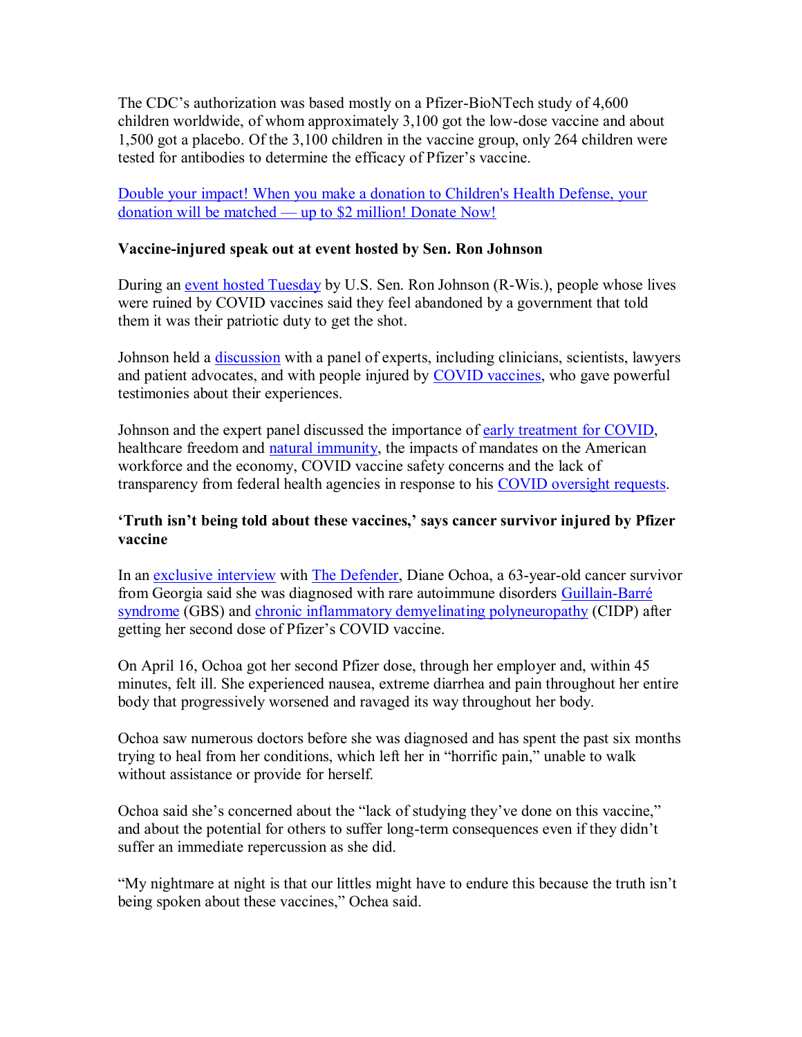The CDC's authorization was based mostly on a Pfizer-BioNTech study of 4,600 children worldwide, of whom approximately 3,100 got the low-dose vaccine and about 1,500 got a placebo. Of the 3,100 children in the vaccine group, only 264 children were tested for antibodies to determine the efficacy of Pfizer's vaccine.

[Double your impact! When you make a donation to Children's Health Defense, your](https://childrenshealthdefense.org/about-us/donate)  donation will be matched — [up to \\$2 million! Donate Now!](https://childrenshealthdefense.org/about-us/donate)

### **Vaccine-injured speak out at event hosted by Sen. Ron Johnson**

During an [event hosted Tuesday](https://childrenshealthdefense.org/defender/ron-johnson-people-injured-covid-vaccine/) by U.S. Sen. Ron Johnson (R-Wis.), people whose lives were ruined by COVID vaccines said they feel abandoned by a government that told them it was their patriotic duty to get the shot.

Johnson held a *discussion* with a panel of experts, including clinicians, scientists, lawyers and patient advocates, and with people injured by [COVID vaccines,](https://childrenshealthdefense.org/defender_category/covid/) who gave powerful testimonies about their experiences.

Johnson and the expert panel discussed the importance of [early treatment for COVID,](https://childrenshealthdefense.org/defender/nebraska-ag-doug-peterson-legal-opinion-ivermectin-hcq-covid/) healthcare freedom and [natural immunity,](https://childrenshealthdefense.org/defender/sen-rand-paul-sec-becerra-denying-natural-immunity/) the impacts of mandates on the American workforce and the economy, COVID vaccine safety concerns and the lack of transparency from federal health agencies in response to his [COVID oversight requests.](https://childrenshealthdefense.org/defender/sen-ron-johnson-questions-fda-pfizer-vaccine-approval/)

### **'Truth isn't being told about these vaccines,' says cancer survivor injured by Pfizer vaccine**

In an [exclusive interview](https://childrenshealthdefense.org/defender/diane-ochoa-guillain-barre-pfizer-covid-vaccine-injuries/) with [The Defender,](https://childrenshealthdefense.org/defender/) Diane Ochoa, a 63-year-old cancer survivor from Georgia said she was diagnosed with rare autoimmune disorders [Guillain-Barré](https://www.cdc.gov/campylobacter/guillain-barre.html#:~:text=Guillain%2DBarr%C3%A9%20(Ghee%2DYAN,some%20have%20permanent%20nerve%20damage.)  [syndrome](https://www.cdc.gov/campylobacter/guillain-barre.html#:~:text=Guillain%2DBarr%C3%A9%20(Ghee%2DYAN,some%20have%20permanent%20nerve%20damage.) (GBS) and [chronic inflammatory demyelinating polyneuropathy](https://www.cedars-sinai.org/health-library/diseases-and-conditions/c/chronic-inflammatory-demyelinating-polyradiculoneuropathy.html#:~:text=Chronic%20inflammatory%20demyelinating%20polyradiculoneuropathy%20(CIDP,insulate%20and%20protect%20the%20nerves.) (CIDP) after getting her second dose of Pfizer's COVID vaccine.

On April 16, Ochoa got her second Pfizer dose, through her employer and, within 45 minutes, felt ill. She experienced nausea, extreme diarrhea and pain throughout her entire body that progressively worsened and ravaged its way throughout her body.

Ochoa saw numerous doctors before she was diagnosed and has spent the past six months trying to heal from her conditions, which left her in "horrific pain," unable to walk without assistance or provide for herself.

Ochoa said she's concerned about the "lack of studying they've done on this vaccine," and about the potential for others to suffer long-term consequences even if they didn't suffer an immediate repercussion as she did.

"My nightmare at night is that our littles might have to endure this because the truth isn't being spoken about these vaccines," Ochea said.